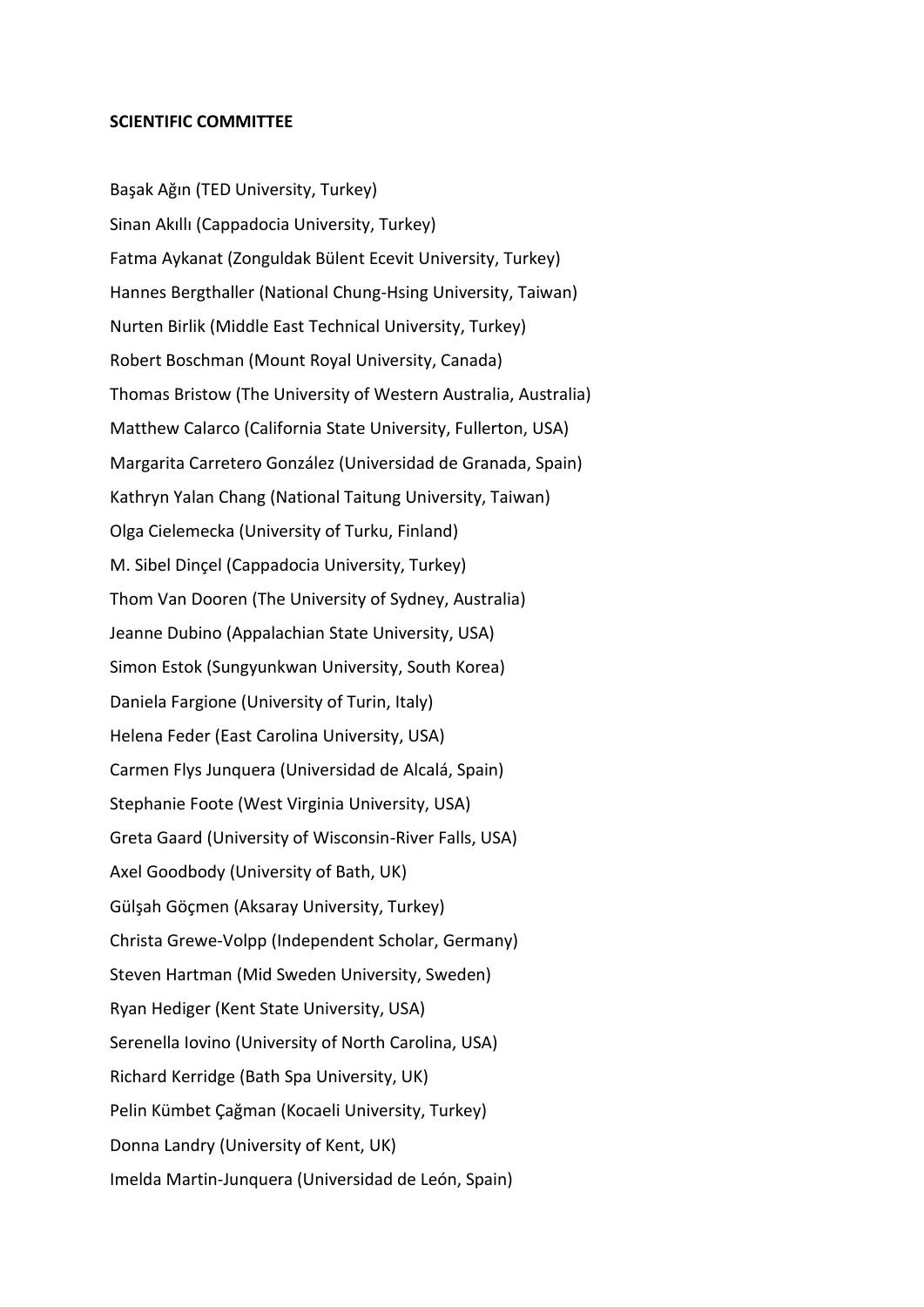## **SCIENTIFIC COMMITTEE**

Başak Ağın (TED University, Turkey) Sinan Akıllı (Cappadocia University, Turkey) Fatma Aykanat (Zonguldak Bülent Ecevit University, Turkey) Hannes Bergthaller (National Chung-Hsing University, Taiwan) Nurten Birlik (Middle East Technical University, Turkey) Robert Boschman (Mount Royal University, Canada) Thomas Bristow (The University of Western Australia, Australia) Matthew Calarco (California State University, Fullerton, USA) Margarita Carretero González (Universidad de Granada, Spain) Kathryn Yalan Chang (National Taitung University, Taiwan) Olga Cielemecka (University of Turku, Finland) M. Sibel Dinçel (Cappadocia University, Turkey) Thom Van Dooren (The University of Sydney, Australia) Jeanne Dubino (Appalachian State University, USA) Simon Estok (Sungyunkwan University, South Korea) Daniela Fargione (University of Turin, Italy) Helena Feder (East Carolina University, USA) Carmen Flys Junquera (Universidad de Alcalá, Spain) Stephanie Foote (West Virginia University, USA) Greta Gaard (University of Wisconsin-River Falls, USA) Axel Goodbody (University of Bath, UK) Gülşah Göçmen (Aksaray University, Turkey) Christa Grewe-Volpp (Independent Scholar, Germany) Steven Hartman (Mid Sweden University, Sweden) Ryan Hediger (Kent State University, USA) Serenella Iovino (University of North Carolina, USA) Richard Kerridge (Bath Spa University, UK) Pelin Kümbet Çağman (Kocaeli University, Turkey) Donna Landry (University of Kent, UK) Imelda Martin-Junquera (Universidad de León, Spain)